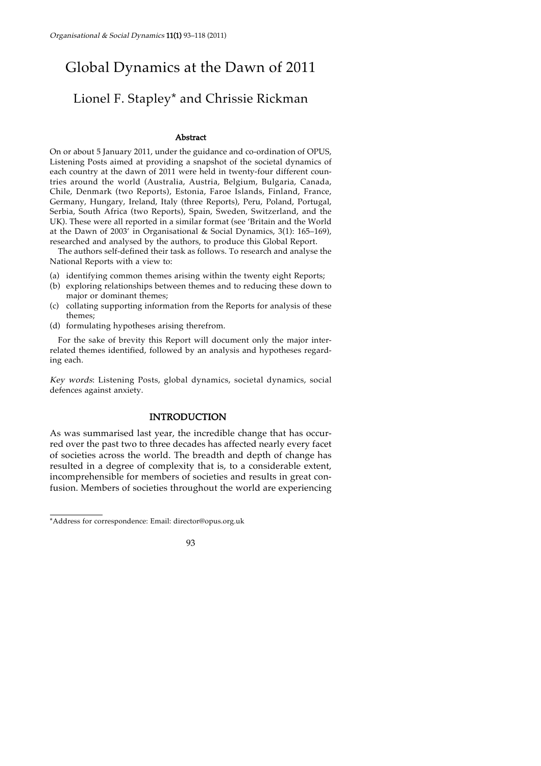# Global Dynamics at the Dawn of 2011

# Lionel F. Stapley\* and Chrissie Rickman

#### Abstract

On or about 5 January 2011, under the guidance and co-ordination of OPUS, Listening Posts aimed at providing a snapshot of the societal dynamics of each country at the dawn of 2011 were held in twenty-four different countries around the world (Australia, Austria, Belgium, Bulgaria, Canada, Chile, Denmark (two Reports), Estonia, Faroe Islands, Finland, France, Germany, Hungary, Ireland, Italy (three Reports), Peru, Poland, Portugal, Serbia, South Africa (two Reports), Spain, Sweden, Switzerland, and the UK). These were all reported in a similar format (see 'Britain and the World at the Dawn of 2003' in Organisational & Social Dynamics, 3(1): 165–169), researched and analysed by the authors, to produce this Global Report.

The authors self-defined their task as follows. To research and analyse the National Reports with a view to:

- (a) identifying common themes arising within the twenty eight Reports;
- (b) exploring relationships between themes and to reducing these down to major or dominant themes;
- (c) collating supporting information from the Reports for analysis of these themes;
- (d) formulating hypotheses arising therefrom.

For the sake of brevity this Report will document only the major interrelated themes identified, followed by an analysis and hypotheses regarding each.

Key words: Listening Posts, global dynamics, societal dynamics, social defences against anxiety.

## INTRODUCTION

As was summarised last year, the incredible change that has occurred over the past two to three decades has affected nearly every facet of societies across the world. The breadth and depth of change has resulted in a degree of complexity that is, to a considerable extent, incomprehensible for members of societies and results in great confusion. Members of societies throughout the world are experiencing

<sup>\*</sup>Address for correspondence: Email: director@opus.org.uk

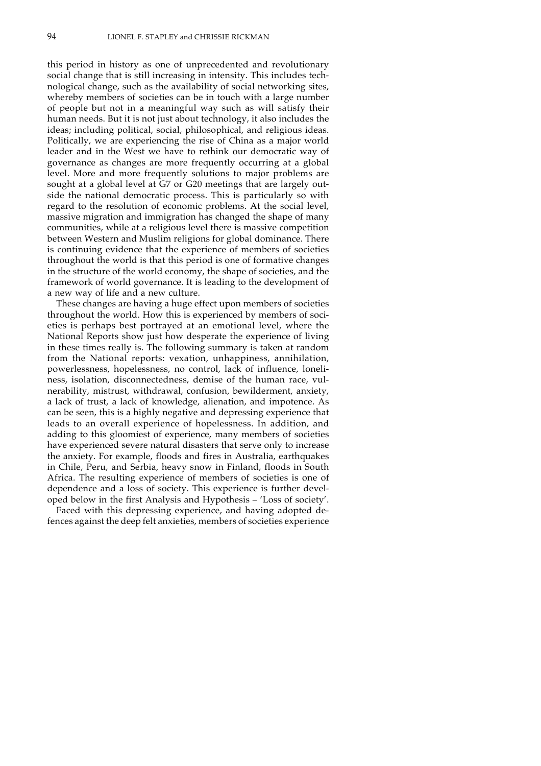this period in history as one of unprecedented and revolutionary social change that is still increasing in intensity. This includes technological change, such as the availability of social networking sites, whereby members of societies can be in touch with a large number of people but not in a meaningful way such as will satisfy their human needs. But it is not just about technology, it also includes the ideas; including political, social, philosophical, and religious ideas. Politically, we are experiencing the rise of China as a major world leader and in the West we have to rethink our democratic way of governance as changes are more frequently occurring at a global level. More and more frequently solutions to major problems are sought at a global level at G7 or G20 meetings that are largely outside the national democratic process. This is particularly so with regard to the resolution of economic problems. At the social level, massive migration and immigration has changed the shape of many communities, while at a religious level there is massive competition between Western and Muslim religions for global dominance. There is continuing evidence that the experience of members of societies throughout the world is that this period is one of formative changes in the structure of the world economy, the shape of societies, and the framework of world governance. It is leading to the development of a new way of life and a new culture.

These changes are having a huge effect upon members of societies throughout the world. How this is experienced by members of societies is perhaps best portrayed at an emotional level, where the National Reports show just how desperate the experience of living in these times really is. The following summary is taken at random from the National reports: vexation, unhappiness, annihilation, powerlessness, hopelessness, no control, lack of influence, loneliness, isolation, disconnectedness, demise of the human race, vulnerability, mistrust, withdrawal, confusion, bewilderment, anxiety, a lack of trust, a lack of knowledge, alienation, and impotence. As can be seen, this is a highly negative and depressing experience that leads to an overall experience of hopelessness. In addition, and adding to this gloomiest of experience, many members of societies have experienced severe natural disasters that serve only to increase the anxiety. For example, floods and fires in Australia, earthquakes in Chile, Peru, and Serbia, heavy snow in Finland, floods in South Africa. The resulting experience of members of societies is one of dependence and a loss of society. This experience is further developed below in the first Analysis and Hypothesis – 'Loss of society'.

Faced with this depressing experience, and having adopted defences against the deep felt anxieties, members of societies experience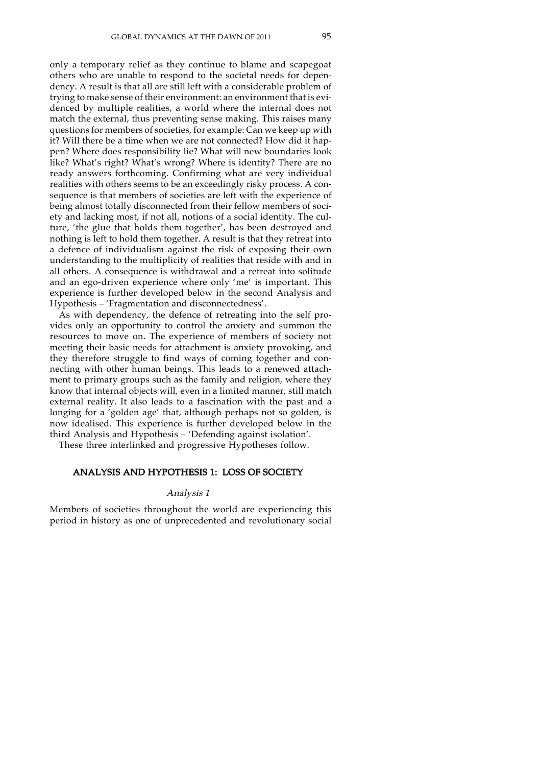only a temporary relief as they continue to blame and scapegoat others who are unable to respond to the societal needs for dependency. A result is that all are still left with a considerable problem of trying to make sense of their environment: an environment that is evidenced by multiple realities, a world where the internal does not match the external, thus preventing sense making. This raises many questions for members of societies, for example: Can we keep up with it? Will there be a time when we are not connected? How did it happen? Where does responsibility lie? What will new boundaries look like? What's right? What's wrong? Where is identity? There are no ready answers forthcoming. Confirming what are very individual realities with others seems to be an exceedingly risky process. A consequence is that members of societies are left with the experience of being almost totally disconnected from their fellow members of society and lacking most, if not all, notions of a social identity. The culture, 'the glue that holds them together', has been destroyed and nothing is left to hold them together. A result is that they retreat into a defence of individualism against the risk of exposing their own understanding to the multiplicity of realities that reside with and in all others. A consequence is withdrawal and a retreat into solitude and an ego-driven experience where only 'me' is important. This experience is further developed below in the second Analysis and Hypothesis – 'Fragmentation and disconnectedness'.

As with dependency, the defence of retreating into the self provides only an opportunity to control the anxiety and summon the resources to move on. The experience of members of society not meeting their basic needs for attachment is anxiety provoking, and they therefore struggle to find ways of coming together and connecting with other human beings. This leads to a renewed attachment to primary groups such as the family and religion, where they know that internal objects will, even in a limited manner, still match external reality. It also leads to a fascination with the past and a longing for a 'golden age' that, although perhaps not so golden, is now idealised. This experience is further developed below in the third Analysis and Hypothesis – 'Defending against isolation'.

These three interlinked and progressive Hypotheses follow.

# ANALYSIS AND HYPOTHESIS 1: LOSS OF SOCIETY

#### Analysis 1

Members of societies throughout the world are experiencing this period in history as one of unprecedented and revolutionary social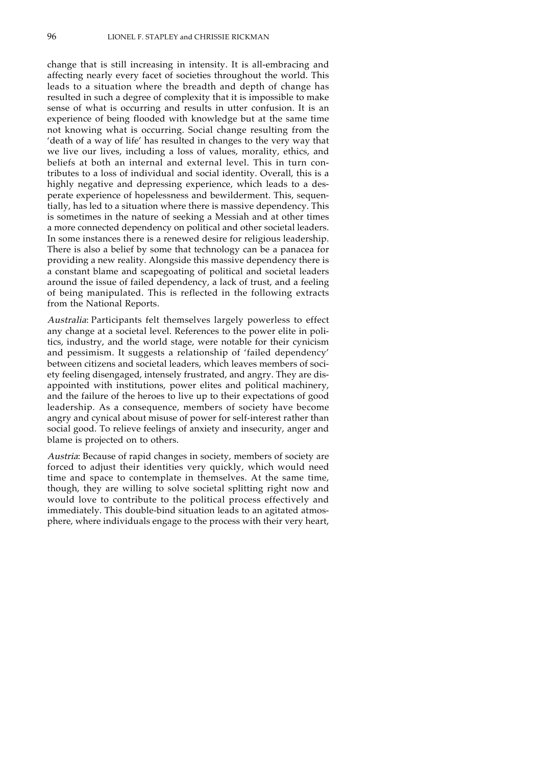change that is still increasing in intensity. It is all-embracing and affecting nearly every facet of societies throughout the world. This leads to a situation where the breadth and depth of change has resulted in such a degree of complexity that it is impossible to make sense of what is occurring and results in utter confusion. It is an experience of being flooded with knowledge but at the same time not knowing what is occurring. Social change resulting from the 'death of a way of life' has resulted in changes to the very way that we live our lives, including a loss of values, morality, ethics, and beliefs at both an internal and external level. This in turn contributes to a loss of individual and social identity. Overall, this is a highly negative and depressing experience, which leads to a desperate experience of hopelessness and bewilderment. This, sequentially, has led to a situation where there is massive dependency. This is sometimes in the nature of seeking a Messiah and at other times a more connected dependency on political and other societal leaders. In some instances there is a renewed desire for religious leadership. There is also a belief by some that technology can be a panacea for providing a new reality. Alongside this massive dependency there is a constant blame and scapegoating of political and societal leaders around the issue of failed dependency, a lack of trust, and a feeling of being manipulated. This is reflected in the following extracts from the National Reports.

Australia: Participants felt themselves largely powerless to effect any change at a societal level. References to the power elite in politics, industry, and the world stage, were notable for their cynicism and pessimism. It suggests a relationship of 'failed dependency' between citizens and societal leaders, which leaves members of society feeling disengaged, intensely frustrated, and angry. They are disappointed with institutions, power elites and political machinery, and the failure of the heroes to live up to their expectations of good leadership. As a consequence, members of society have become angry and cynical about misuse of power for self-interest rather than social good. To relieve feelings of anxiety and insecurity, anger and blame is projected on to others.

Austria: Because of rapid changes in society, members of society are forced to adjust their identities very quickly, which would need time and space to contemplate in themselves. At the same time, though, they are willing to solve societal splitting right now and would love to contribute to the political process effectively and immediately. This double-bind situation leads to an agitated atmosphere, where individuals engage to the process with their very heart,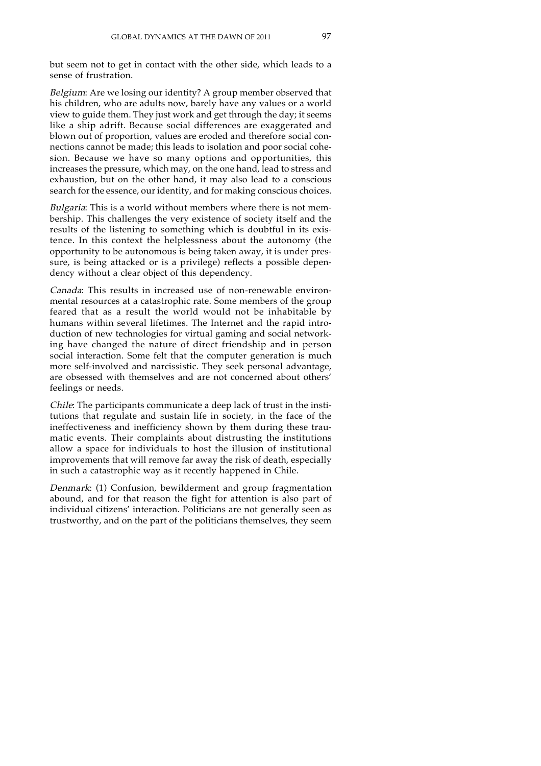but seem not to get in contact with the other side, which leads to a sense of frustration.

Belgium: Are we losing our identity? A group member observed that his children, who are adults now, barely have any values or a world view to guide them. They just work and get through the day; it seems like a ship adrift. Because social differences are exaggerated and blown out of proportion, values are eroded and therefore social connections cannot be made; this leads to isolation and poor social cohesion. Because we have so many options and opportunities, this increases the pressure, which may, on the one hand, lead to stress and exhaustion, but on the other hand, it may also lead to a conscious search for the essence, our identity, and for making conscious choices.

Bulgaria: This is a world without members where there is not membership. This challenges the very existence of society itself and the results of the listening to something which is doubtful in its existence. In this context the helplessness about the autonomy (the opportunity to be autonomous is being taken away, it is under pressure, is being attacked or is a privilege) reflects a possible dependency without a clear object of this dependency.

Canada: This results in increased use of non-renewable environmental resources at a catastrophic rate. Some members of the group feared that as a result the world would not be inhabitable by humans within several lifetimes. The Internet and the rapid introduction of new technologies for virtual gaming and social networking have changed the nature of direct friendship and in person social interaction. Some felt that the computer generation is much more self-involved and narcissistic. They seek personal advantage, are obsessed with themselves and are not concerned about others' feelings or needs.

Chile: The participants communicate a deep lack of trust in the institutions that regulate and sustain life in society, in the face of the ineffectiveness and inefficiency shown by them during these traumatic events. Their complaints about distrusting the institutions allow a space for individuals to host the illusion of institutional improvements that will remove far away the risk of death, especially in such a catastrophic way as it recently happened in Chile.

Denmark: (1) Confusion, bewilderment and group fragmentation abound, and for that reason the fight for attention is also part of individual citizens' interaction. Politicians are not generally seen as trustworthy, and on the part of the politicians themselves, they seem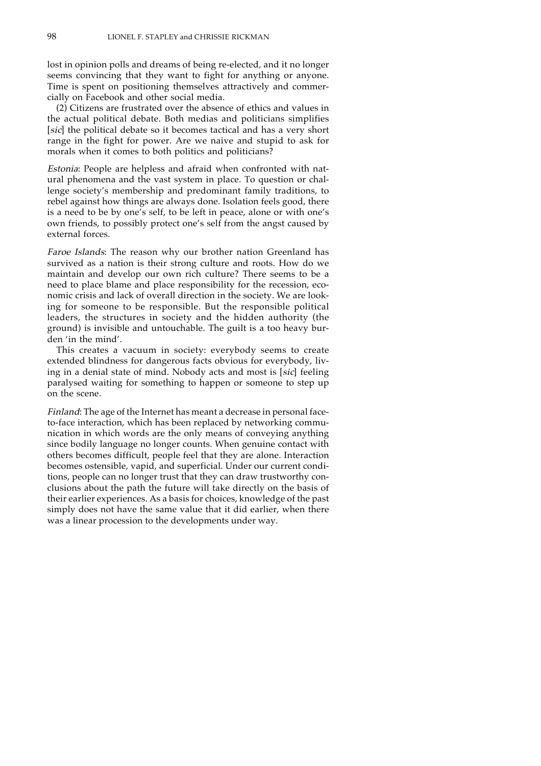lost in opinion polls and dreams of being re-elected, and it no longer seems convincing that they want to fight for anything or anyone. Time is spent on positioning themselves attractively and commercially on Facebook and other social media.

(2) Citizens are frustrated over the absence of ethics and values in the actual political debate. Both medias and politicians simplifies [sic] the political debate so it becomes tactical and has a very short range in the fight for power. Are we naive and stupid to ask for morals when it comes to both politics and politicians?

Estonia: People are helpless and afraid when confronted with natural phenomena and the vast system in place. To question or challenge society's membership and predominant family traditions, to rebel against how things are always done. Isolation feels good, there is a need to be by one's self, to be left in peace, alone or with one's own friends, to possibly protect one's self from the angst caused by external forces.

Faroe Islands: The reason why our brother nation Greenland has survived as a nation is their strong culture and roots. How do we maintain and develop our own rich culture? There seems to be a need to place blame and place responsibility for the recession, economic crisis and lack of overall direction in the society. We are looking for someone to be responsible. But the responsible political leaders, the structures in society and the hidden authority (the ground) is invisible and untouchable. The guilt is a too heavy burden 'in the mind'.

This creates a vacuum in society: everybody seems to create extended blindness for dangerous facts obvious for everybody, living in a denial state of mind. Nobody acts and most is [sic] feeling paralysed waiting for something to happen or someone to step up on the scene.

Finland: The age of the Internet has meant a decrease in personal faceto-face interaction, which has been replaced by networking communication in which words are the only means of conveying anything since bodily language no longer counts. When genuine contact with others becomes difficult, people feel that they are alone. Interaction becomes ostensible, vapid, and superficial. Under our current conditions, people can no longer trust that they can draw trustworthy conclusions about the path the future will take directly on the basis of their earlier experiences. As a basis for choices, knowledge of the past simply does not have the same value that it did earlier, when there was a linear procession to the developments under way.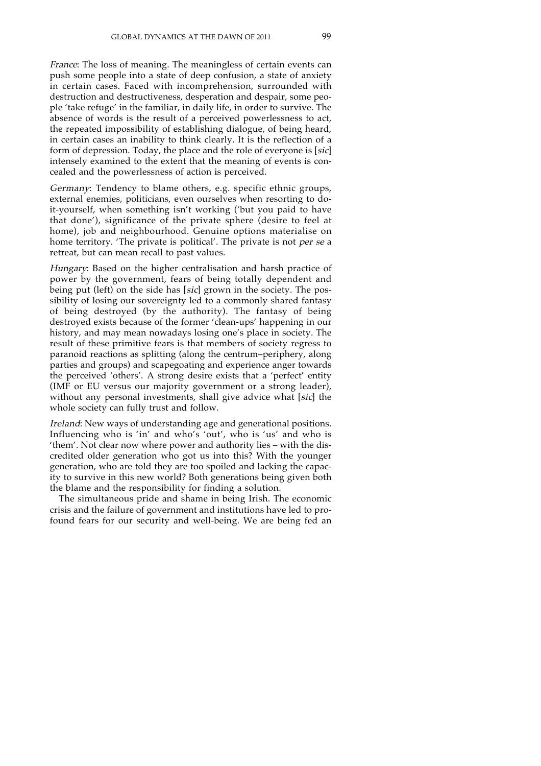France: The loss of meaning. The meaningless of certain events can push some people into a state of deep confusion, a state of anxiety in certain cases. Faced with incomprehension, surrounded with destruction and destructiveness, desperation and despair, some people 'take refuge' in the familiar, in daily life, in order to survive. The absence of words is the result of a perceived powerlessness to act, the repeated impossibility of establishing dialogue, of being heard, in certain cases an inability to think clearly. It is the reflection of a form of depression. Today, the place and the role of everyone is [sic] intensely examined to the extent that the meaning of events is concealed and the powerlessness of action is perceived.

Germany: Tendency to blame others, e.g. specific ethnic groups, external enemies, politicians, even ourselves when resorting to doit-yourself, when something isn't working ('but you paid to have that done'), significance of the private sphere (desire to feel at home), job and neighbourhood. Genuine options materialise on home territory. The private is political'. The private is not *per se* a retreat, but can mean recall to past values.

Hungary: Based on the higher centralisation and harsh practice of power by the government, fears of being totally dependent and being put (left) on the side has [sic] grown in the society. The possibility of losing our sovereignty led to a commonly shared fantasy of being destroyed (by the authority). The fantasy of being destroyed exists because of the former 'clean-ups' happening in our history, and may mean nowadays losing one's place in society. The result of these primitive fears is that members of society regress to paranoid reactions as splitting (along the centrum–periphery, along parties and groups) and scapegoating and experience anger towards the perceived 'others'. A strong desire exists that a 'perfect' entity (IMF or EU versus our majority government or a strong leader), without any personal investments, shall give advice what [sic] the whole society can fully trust and follow.

Ireland: New ways of understanding age and generational positions. Influencing who is 'in' and who's 'out', who is 'us' and who is 'them'. Not clear now where power and authority lies – with the discredited older generation who got us into this? With the younger generation, who are told they are too spoiled and lacking the capacity to survive in this new world? Both generations being given both the blame and the responsibility for finding a solution.

The simultaneous pride and shame in being Irish. The economic crisis and the failure of government and institutions have led to profound fears for our security and well-being. We are being fed an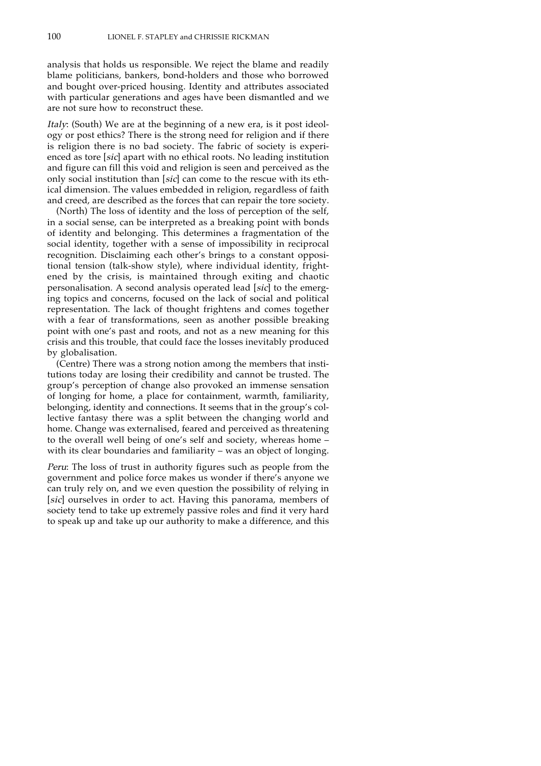analysis that holds us responsible. We reject the blame and readily blame politicians, bankers, bond-holders and those who borrowed and bought over-priced housing. Identity and attributes associated with particular generations and ages have been dismantled and we are not sure how to reconstruct these.

Italy: (South) We are at the beginning of a new era, is it post ideology or post ethics? There is the strong need for religion and if there is religion there is no bad society. The fabric of society is experienced as tore [sic] apart with no ethical roots. No leading institution and figure can fill this void and religion is seen and perceived as the only social institution than [sic] can come to the rescue with its ethical dimension. The values embedded in religion, regardless of faith and creed, are described as the forces that can repair the tore society.

(North) The loss of identity and the loss of perception of the self, in a social sense, can be interpreted as a breaking point with bonds of identity and belonging. This determines a fragmentation of the social identity, together with a sense of impossibility in reciprocal recognition. Disclaiming each other's brings to a constant oppositional tension (talk-show style), where individual identity, frightened by the crisis, is maintained through exiting and chaotic personalisation. A second analysis operated lead [sic] to the emerging topics and concerns, focused on the lack of social and political representation. The lack of thought frightens and comes together with a fear of transformations, seen as another possible breaking point with one's past and roots, and not as a new meaning for this crisis and this trouble, that could face the losses inevitably produced by globalisation.

(Centre) There was a strong notion among the members that institutions today are losing their credibility and cannot be trusted. The group's perception of change also provoked an immense sensation of longing for home, a place for containment, warmth, familiarity, belonging, identity and connections. It seems that in the group's collective fantasy there was a split between the changing world and home. Change was externalised, feared and perceived as threatening to the overall well being of one's self and society, whereas home – with its clear boundaries and familiarity – was an object of longing.

Peru: The loss of trust in authority figures such as people from the government and police force makes us wonder if there's anyone we can truly rely on, and we even question the possibility of relying in [sic] ourselves in order to act. Having this panorama, members of society tend to take up extremely passive roles and find it very hard to speak up and take up our authority to make a difference, and this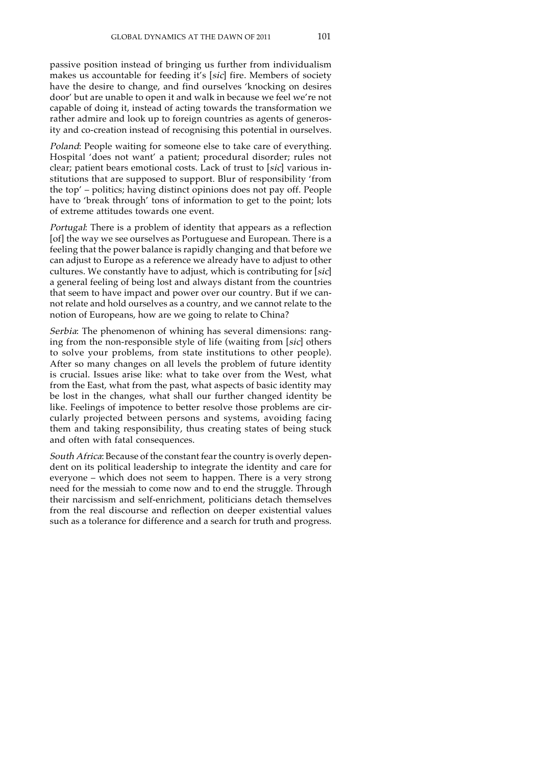passive position instead of bringing us further from individualism makes us accountable for feeding it's [sic] fire. Members of society have the desire to change, and find ourselves 'knocking on desires door' but are unable to open it and walk in because we feel we're not capable of doing it, instead of acting towards the transformation we rather admire and look up to foreign countries as agents of generosity and co-creation instead of recognising this potential in ourselves.

Poland: People waiting for someone else to take care of everything. Hospital 'does not want' a patient; procedural disorder; rules not clear; patient bears emotional costs. Lack of trust to [sic] various institutions that are supposed to support. Blur of responsibility 'from the top' – politics; having distinct opinions does not pay off. People have to 'break through' tons of information to get to the point; lots of extreme attitudes towards one event.

Portugal: There is a problem of identity that appears as a reflection [of] the way we see ourselves as Portuguese and European. There is a feeling that the power balance is rapidly changing and that before we can adjust to Europe as a reference we already have to adjust to other cultures. We constantly have to adjust, which is contributing for [sic] a general feeling of being lost and always distant from the countries that seem to have impact and power over our country. But if we cannot relate and hold ourselves as a country, and we cannot relate to the notion of Europeans, how are we going to relate to China?

Serbia: The phenomenon of whining has several dimensions: ranging from the non-responsible style of life (waiting from [sic] others to solve your problems, from state institutions to other people). After so many changes on all levels the problem of future identity is crucial. Issues arise like: what to take over from the West, what from the East, what from the past, what aspects of basic identity may be lost in the changes, what shall our further changed identity be like. Feelings of impotence to better resolve those problems are circularly projected between persons and systems, avoiding facing them and taking responsibility, thus creating states of being stuck and often with fatal consequences.

South Africa: Because of the constant fear the country is overly dependent on its political leadership to integrate the identity and care for everyone – which does not seem to happen. There is a very strong need for the messiah to come now and to end the struggle. Through their narcissism and self-enrichment, politicians detach themselves from the real discourse and reflection on deeper existential values such as a tolerance for difference and a search for truth and progress.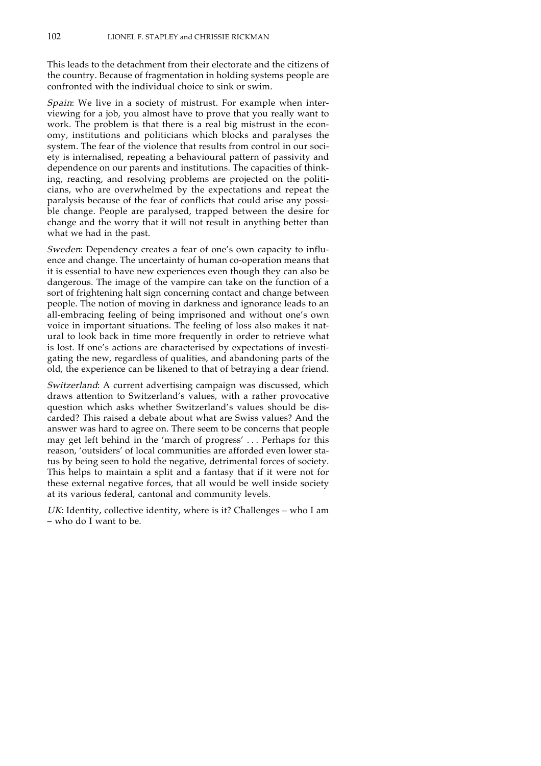This leads to the detachment from their electorate and the citizens of the country. Because of fragmentation in holding systems people are confronted with the individual choice to sink or swim.

Spain: We live in a society of mistrust. For example when interviewing for a job, you almost have to prove that you really want to work. The problem is that there is a real big mistrust in the economy, institutions and politicians which blocks and paralyses the system. The fear of the violence that results from control in our society is internalised, repeating a behavioural pattern of passivity and dependence on our parents and institutions. The capacities of thinking, reacting, and resolving problems are projected on the politicians, who are overwhelmed by the expectations and repeat the paralysis because of the fear of conflicts that could arise any possible change. People are paralysed, trapped between the desire for change and the worry that it will not result in anything better than what we had in the past.

Sweden: Dependency creates a fear of one's own capacity to influence and change. The uncertainty of human co-operation means that it is essential to have new experiences even though they can also be dangerous. The image of the vampire can take on the function of a sort of frightening halt sign concerning contact and change between people. The notion of moving in darkness and ignorance leads to an all-embracing feeling of being imprisoned and without one's own voice in important situations. The feeling of loss also makes it natural to look back in time more frequently in order to retrieve what is lost. If one's actions are characterised by expectations of investigating the new, regardless of qualities, and abandoning parts of the old, the experience can be likened to that of betraying a dear friend.

Switzerland: A current advertising campaign was discussed, which draws attention to Switzerland's values, with a rather provocative question which asks whether Switzerland's values should be discarded? This raised a debate about what are Swiss values? And the answer was hard to agree on. There seem to be concerns that people may get left behind in the 'march of progress' . . . Perhaps for this reason, 'outsiders' of local communities are afforded even lower status by being seen to hold the negative, detrimental forces of society. This helps to maintain a split and a fantasy that if it were not for these external negative forces, that all would be well inside society at its various federal, cantonal and community levels.

UK: Identity, collective identity, where is it? Challenges - who I am – who do I want to be.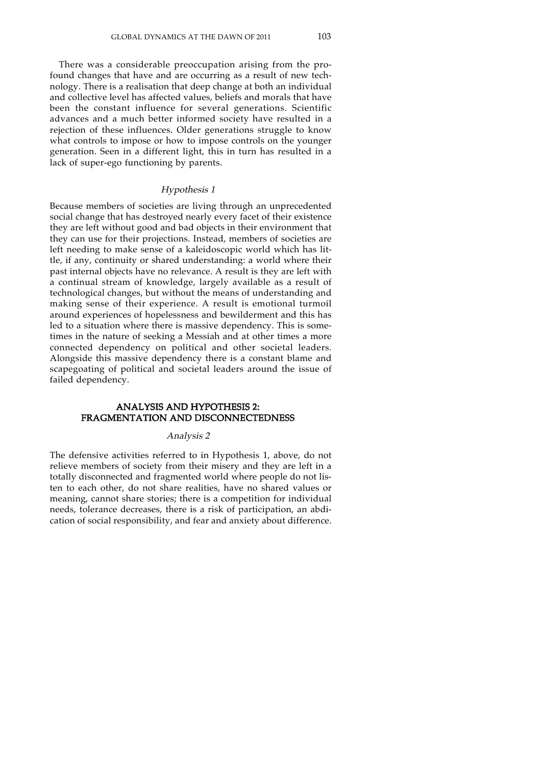There was a considerable preoccupation arising from the profound changes that have and are occurring as a result of new technology. There is a realisation that deep change at both an individual and collective level has affected values, beliefs and morals that have been the constant influence for several generations. Scientific advances and a much better informed society have resulted in a rejection of these influences. Older generations struggle to know what controls to impose or how to impose controls on the younger generation. Seen in a different light, this in turn has resulted in a lack of super-ego functioning by parents.

#### Hypothesis 1

Because members of societies are living through an unprecedented social change that has destroyed nearly every facet of their existence they are left without good and bad objects in their environment that they can use for their projections. Instead, members of societies are left needing to make sense of a kaleidoscopic world which has little, if any, continuity or shared understanding: a world where their past internal objects have no relevance. A result is they are left with a continual stream of knowledge, largely available as a result of technological changes, but without the means of understanding and making sense of their experience. A result is emotional turmoil around experiences of hopelessness and bewilderment and this has led to a situation where there is massive dependency. This is sometimes in the nature of seeking a Messiah and at other times a more connected dependency on political and other societal leaders. Alongside this massive dependency there is a constant blame and scapegoating of political and societal leaders around the issue of failed dependency.

# ANALYSIS AND HYPOTHESIS 2: FRAGMENTATION AND DISCONNECTEDNESS

#### Analysis 2

The defensive activities referred to in Hypothesis 1, above, do not relieve members of society from their misery and they are left in a totally disconnected and fragmented world where people do not listen to each other, do not share realities, have no shared values or meaning, cannot share stories; there is a competition for individual needs, tolerance decreases, there is a risk of participation, an abdication of social responsibility, and fear and anxiety about difference.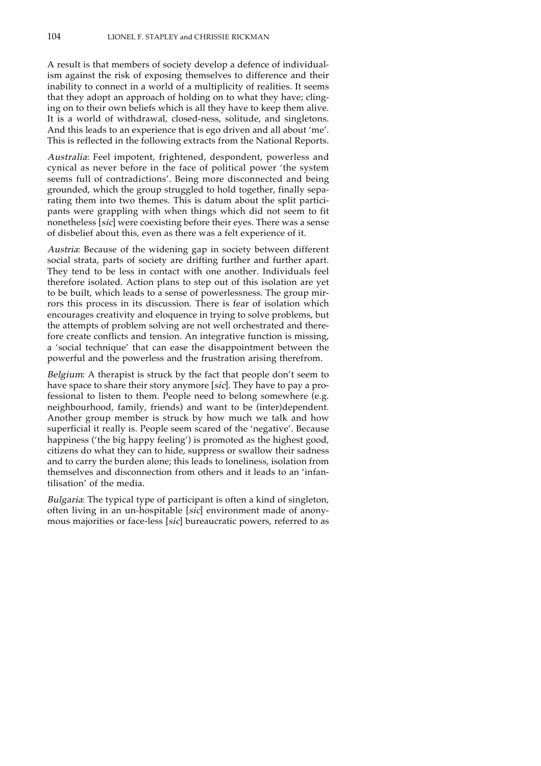A result is that members of society develop a defence of individualism against the risk of exposing themselves to difference and their inability to connect in a world of a multiplicity of realities. It seems that they adopt an approach of holding on to what they have; clinging on to their own beliefs which is all they have to keep them alive. It is a world of withdrawal, closed-ness, solitude, and singletons. And this leads to an experience that is ego driven and all about 'me'. This is reflected in the following extracts from the National Reports.

Australia: Feel impotent, frightened, despondent, powerless and cynical as never before in the face of political power 'the system seems full of contradictions'. Being more disconnected and being grounded, which the group struggled to hold together, finally separating them into two themes. This is datum about the split participants were grappling with when things which did not seem to fit nonetheless [sic] were coexisting before their eyes. There was a sense of disbelief about this, even as there was a felt experience of it.

Austria: Because of the widening gap in society between different social strata, parts of society are drifting further and further apart. They tend to be less in contact with one another. Individuals feel therefore isolated. Action plans to step out of this isolation are yet to be built, which leads to a sense of powerlessness. The group mirrors this process in its discussion. There is fear of isolation which encourages creativity and eloquence in trying to solve problems, but the attempts of problem solving are not well orchestrated and therefore create conflicts and tension. An integrative function is missing, a 'social technique' that can ease the disappointment between the powerful and the powerless and the frustration arising therefrom.

Belgium: A therapist is struck by the fact that people don't seem to have space to share their story anymore [sic]. They have to pay a professional to listen to them. People need to belong somewhere (e.g. neighbourhood, family, friends) and want to be (inter)dependent. Another group member is struck by how much we talk and how superficial it really is. People seem scared of the 'negative'. Because happiness ('the big happy feeling') is promoted as the highest good, citizens do what they can to hide, suppress or swallow their sadness and to carry the burden alone; this leads to loneliness, isolation from themselves and disconnection from others and it leads to an 'infantilisation' of the media.

Bulgaria: The typical type of participant is often a kind of singleton, often living in an un-hospitable [sic] environment made of anonymous majorities or face-less [sic] bureaucratic powers, referred to as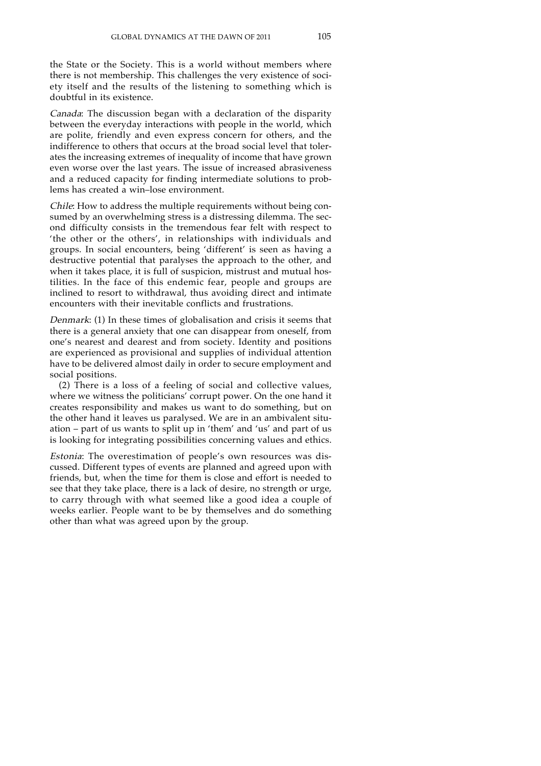the State or the Society. This is a world without members where there is not membership. This challenges the very existence of society itself and the results of the listening to something which is doubtful in its existence.

Canada: The discussion began with a declaration of the disparity between the everyday interactions with people in the world, which are polite, friendly and even express concern for others, and the indifference to others that occurs at the broad social level that tolerates the increasing extremes of inequality of income that have grown even worse over the last years. The issue of increased abrasiveness and a reduced capacity for finding intermediate solutions to problems has created a win–lose environment.

Chile: How to address the multiple requirements without being consumed by an overwhelming stress is a distressing dilemma. The second difficulty consists in the tremendous fear felt with respect to 'the other or the others', in relationships with individuals and groups. In social encounters, being 'different' is seen as having a destructive potential that paralyses the approach to the other, and when it takes place, it is full of suspicion, mistrust and mutual hostilities. In the face of this endemic fear, people and groups are inclined to resort to withdrawal, thus avoiding direct and intimate encounters with their inevitable conflicts and frustrations.

Denmark: (1) In these times of globalisation and crisis it seems that there is a general anxiety that one can disappear from oneself, from one's nearest and dearest and from society. Identity and positions are experienced as provisional and supplies of individual attention have to be delivered almost daily in order to secure employment and social positions.

(2) There is a loss of a feeling of social and collective values, where we witness the politicians' corrupt power. On the one hand it creates responsibility and makes us want to do something, but on the other hand it leaves us paralysed. We are in an ambivalent situation – part of us wants to split up in 'them' and 'us' and part of us is looking for integrating possibilities concerning values and ethics.

Estonia: The overestimation of people's own resources was discussed. Different types of events are planned and agreed upon with friends, but, when the time for them is close and effort is needed to see that they take place, there is a lack of desire, no strength or urge, to carry through with what seemed like a good idea a couple of weeks earlier. People want to be by themselves and do something other than what was agreed upon by the group.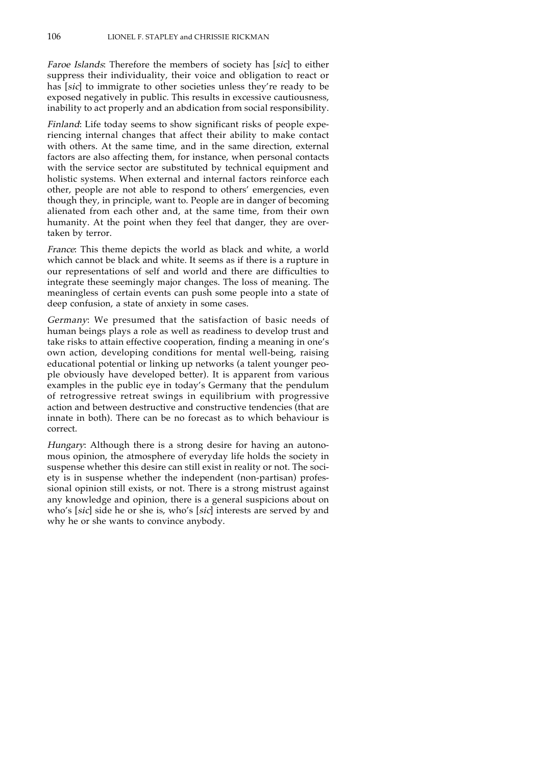Faroe Islands: Therefore the members of society has [sic] to either suppress their individuality, their voice and obligation to react or has [sic] to immigrate to other societies unless they're ready to be exposed negatively in public. This results in excessive cautiousness, inability to act properly and an abdication from social responsibility.

Finland: Life today seems to show significant risks of people experiencing internal changes that affect their ability to make contact with others. At the same time, and in the same direction, external factors are also affecting them, for instance, when personal contacts with the service sector are substituted by technical equipment and holistic systems. When external and internal factors reinforce each other, people are not able to respond to others' emergencies, even though they, in principle, want to. People are in danger of becoming alienated from each other and, at the same time, from their own humanity. At the point when they feel that danger, they are overtaken by terror.

France: This theme depicts the world as black and white, a world which cannot be black and white. It seems as if there is a rupture in our representations of self and world and there are difficulties to integrate these seemingly major changes. The loss of meaning. The meaningless of certain events can push some people into a state of deep confusion, a state of anxiety in some cases.

Germany: We presumed that the satisfaction of basic needs of human beings plays a role as well as readiness to develop trust and take risks to attain effective cooperation, finding a meaning in one's own action, developing conditions for mental well-being, raising educational potential or linking up networks (a talent younger people obviously have developed better). It is apparent from various examples in the public eye in today's Germany that the pendulum of retrogressive retreat swings in equilibrium with progressive action and between destructive and constructive tendencies (that are innate in both). There can be no forecast as to which behaviour is correct.

Hungary: Although there is a strong desire for having an autonomous opinion, the atmosphere of everyday life holds the society in suspense whether this desire can still exist in reality or not. The society is in suspense whether the independent (non-partisan) professional opinion still exists, or not. There is a strong mistrust against any knowledge and opinion, there is a general suspicions about on who's [sic] side he or she is, who's [sic] interests are served by and why he or she wants to convince anybody.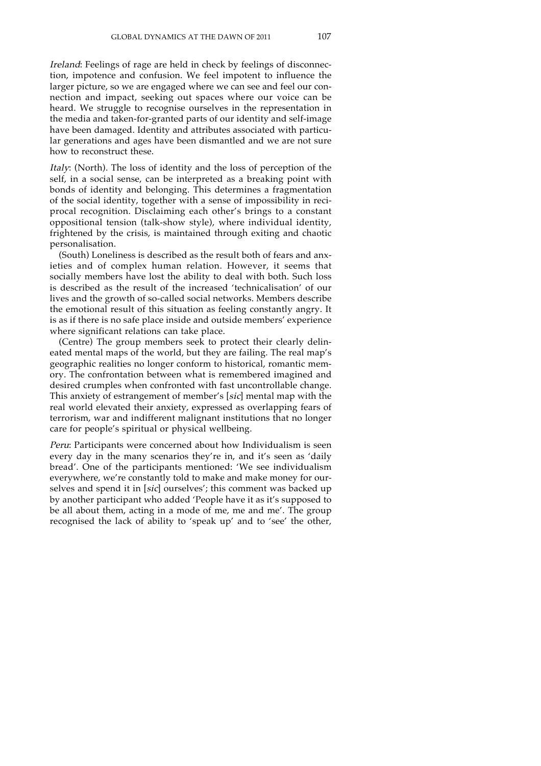Ireland: Feelings of rage are held in check by feelings of disconnection, impotence and confusion. We feel impotent to influence the larger picture, so we are engaged where we can see and feel our connection and impact, seeking out spaces where our voice can be heard. We struggle to recognise ourselves in the representation in the media and taken-for-granted parts of our identity and self-image have been damaged. Identity and attributes associated with particular generations and ages have been dismantled and we are not sure how to reconstruct these.

Italy: (North). The loss of identity and the loss of perception of the self, in a social sense, can be interpreted as a breaking point with bonds of identity and belonging. This determines a fragmentation of the social identity, together with a sense of impossibility in reciprocal recognition. Disclaiming each other's brings to a constant oppositional tension (talk-show style), where individual identity, frightened by the crisis, is maintained through exiting and chaotic personalisation.

(South) Loneliness is described as the result both of fears and anxieties and of complex human relation. However, it seems that socially members have lost the ability to deal with both. Such loss is described as the result of the increased 'technicalisation' of our lives and the growth of so-called social networks. Members describe the emotional result of this situation as feeling constantly angry. It is as if there is no safe place inside and outside members' experience where significant relations can take place.

(Centre) The group members seek to protect their clearly delineated mental maps of the world, but they are failing. The real map's geographic realities no longer conform to historical, romantic memory. The confrontation between what is remembered imagined and desired crumples when confronted with fast uncontrollable change. This anxiety of estrangement of member's [sic] mental map with the real world elevated their anxiety, expressed as overlapping fears of terrorism, war and indifferent malignant institutions that no longer care for people's spiritual or physical wellbeing.

Peru: Participants were concerned about how Individualism is seen every day in the many scenarios they're in, and it's seen as 'daily bread'. One of the participants mentioned: 'We see individualism everywhere, we're constantly told to make and make money for ourselves and spend it in [sic] ourselves'; this comment was backed up by another participant who added 'People have it as it's supposed to be all about them, acting in a mode of me, me and me'. The group recognised the lack of ability to 'speak up' and to 'see' the other,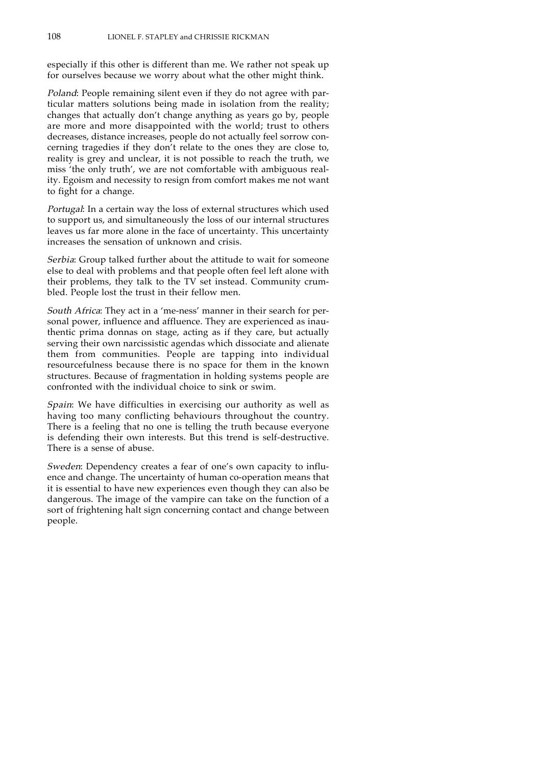especially if this other is different than me. We rather not speak up for ourselves because we worry about what the other might think.

Poland: People remaining silent even if they do not agree with particular matters solutions being made in isolation from the reality; changes that actually don't change anything as years go by, people are more and more disappointed with the world; trust to others decreases, distance increases, people do not actually feel sorrow concerning tragedies if they don't relate to the ones they are close to, reality is grey and unclear, it is not possible to reach the truth, we miss 'the only truth', we are not comfortable with ambiguous reality. Egoism and necessity to resign from comfort makes me not want to fight for a change.

Portugal: In a certain way the loss of external structures which used to support us, and simultaneously the loss of our internal structures leaves us far more alone in the face of uncertainty. This uncertainty increases the sensation of unknown and crisis.

Serbia: Group talked further about the attitude to wait for someone else to deal with problems and that people often feel left alone with their problems, they talk to the TV set instead. Community crumbled. People lost the trust in their fellow men.

South Africa: They act in a 'me-ness' manner in their search for personal power, influence and affluence. They are experienced as inauthentic prima donnas on stage, acting as if they care, but actually serving their own narcissistic agendas which dissociate and alienate them from communities. People are tapping into individual resourcefulness because there is no space for them in the known structures. Because of fragmentation in holding systems people are confronted with the individual choice to sink or swim.

Spain: We have difficulties in exercising our authority as well as having too many conflicting behaviours throughout the country. There is a feeling that no one is telling the truth because everyone is defending their own interests. But this trend is self-destructive. There is a sense of abuse.

Sweden: Dependency creates a fear of one's own capacity to influence and change. The uncertainty of human co-operation means that it is essential to have new experiences even though they can also be dangerous. The image of the vampire can take on the function of a sort of frightening halt sign concerning contact and change between people.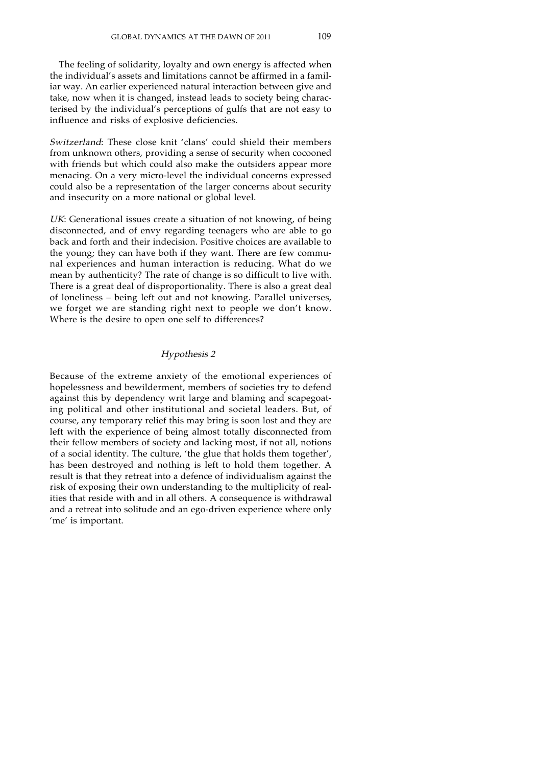The feeling of solidarity, loyalty and own energy is affected when the individual's assets and limitations cannot be affirmed in a familiar way. An earlier experienced natural interaction between give and take, now when it is changed, instead leads to society being characterised by the individual's perceptions of gulfs that are not easy to influence and risks of explosive deficiencies.

Switzerland: These close knit 'clans' could shield their members from unknown others, providing a sense of security when cocooned with friends but which could also make the outsiders appear more menacing. On a very micro-level the individual concerns expressed could also be a representation of the larger concerns about security and insecurity on a more national or global level.

UK: Generational issues create a situation of not knowing, of being disconnected, and of envy regarding teenagers who are able to go back and forth and their indecision. Positive choices are available to the young; they can have both if they want. There are few communal experiences and human interaction is reducing. What do we mean by authenticity? The rate of change is so difficult to live with. There is a great deal of disproportionality. There is also a great deal of loneliness – being left out and not knowing. Parallel universes, we forget we are standing right next to people we don't know. Where is the desire to open one self to differences?

### Hypothesis 2

Because of the extreme anxiety of the emotional experiences of hopelessness and bewilderment, members of societies try to defend against this by dependency writ large and blaming and scapegoating political and other institutional and societal leaders. But, of course, any temporary relief this may bring is soon lost and they are left with the experience of being almost totally disconnected from their fellow members of society and lacking most, if not all, notions of a social identity. The culture, 'the glue that holds them together', has been destroyed and nothing is left to hold them together. A result is that they retreat into a defence of individualism against the risk of exposing their own understanding to the multiplicity of realities that reside with and in all others. A consequence is withdrawal and a retreat into solitude and an ego-driven experience where only 'me' is important.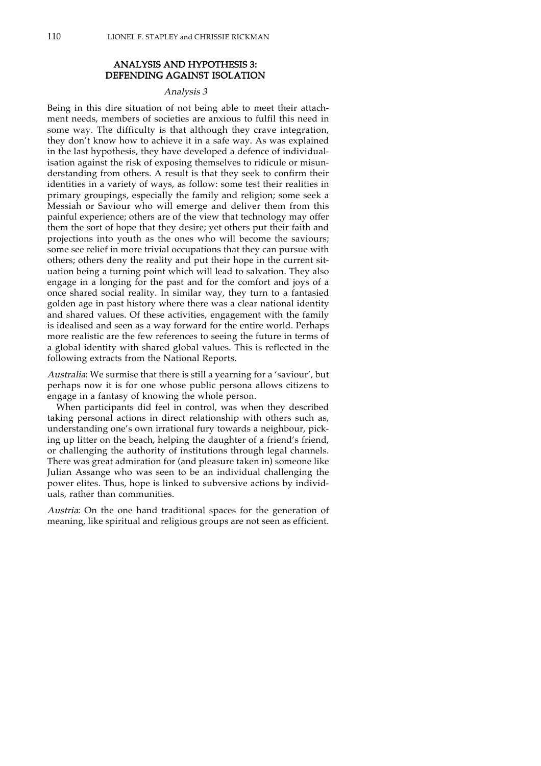# ANALYSIS AND HYPOTHESIS 3: DEFENDING AGAINST ISOLATION

#### Analysis 3

Being in this dire situation of not being able to meet their attachment needs, members of societies are anxious to fulfil this need in some way. The difficulty is that although they crave integration, they don't know how to achieve it in a safe way. As was explained in the last hypothesis, they have developed a defence of individualisation against the risk of exposing themselves to ridicule or misunderstanding from others. A result is that they seek to confirm their identities in a variety of ways, as follow: some test their realities in primary groupings, especially the family and religion; some seek a Messiah or Saviour who will emerge and deliver them from this painful experience; others are of the view that technology may offer them the sort of hope that they desire; yet others put their faith and projections into youth as the ones who will become the saviours; some see relief in more trivial occupations that they can pursue with others; others deny the reality and put their hope in the current situation being a turning point which will lead to salvation. They also engage in a longing for the past and for the comfort and joys of a once shared social reality. In similar way, they turn to a fantasied golden age in past history where there was a clear national identity and shared values. Of these activities, engagement with the family is idealised and seen as a way forward for the entire world. Perhaps more realistic are the few references to seeing the future in terms of a global identity with shared global values. This is reflected in the following extracts from the National Reports.

Australia: We surmise that there is still a yearning for a 'saviour', but perhaps now it is for one whose public persona allows citizens to engage in a fantasy of knowing the whole person.

When participants did feel in control, was when they described taking personal actions in direct relationship with others such as, understanding one's own irrational fury towards a neighbour, picking up litter on the beach, helping the daughter of a friend's friend, or challenging the authority of institutions through legal channels. There was great admiration for (and pleasure taken in) someone like Julian Assange who was seen to be an individual challenging the power elites. Thus, hope is linked to subversive actions by individuals, rather than communities.

Austria: On the one hand traditional spaces for the generation of meaning, like spiritual and religious groups are not seen as efficient.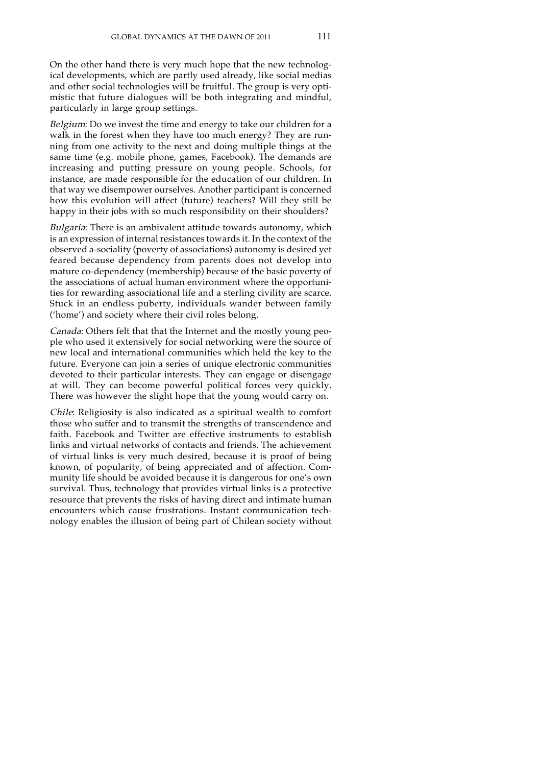On the other hand there is very much hope that the new technological developments, which are partly used already, like social medias and other social technologies will be fruitful. The group is very optimistic that future dialogues will be both integrating and mindful, particularly in large group settings.

Belgium: Do we invest the time and energy to take our children for a walk in the forest when they have too much energy? They are running from one activity to the next and doing multiple things at the same time (e.g. mobile phone, games, Facebook). The demands are increasing and putting pressure on young people. Schools, for instance, are made responsible for the education of our children. In that way we disempower ourselves. Another participant is concerned how this evolution will affect (future) teachers? Will they still be happy in their jobs with so much responsibility on their shoulders?

Bulgaria: There is an ambivalent attitude towards autonomy, which is an expression of internal resistances towards it. In the context of the observed a-sociality (poverty of associations) autonomy is desired yet feared because dependency from parents does not develop into mature co-dependency (membership) because of the basic poverty of the associations of actual human environment where the opportunities for rewarding associational life and a sterling civility are scarce. Stuck in an endless puberty, individuals wander between family ('home') and society where their civil roles belong.

Canada: Others felt that that the Internet and the mostly young people who used it extensively for social networking were the source of new local and international communities which held the key to the future. Everyone can join a series of unique electronic communities devoted to their particular interests. They can engage or disengage at will. They can become powerful political forces very quickly. There was however the slight hope that the young would carry on.

Chile: Religiosity is also indicated as a spiritual wealth to comfort those who suffer and to transmit the strengths of transcendence and faith. Facebook and Twitter are effective instruments to establish links and virtual networks of contacts and friends. The achievement of virtual links is very much desired, because it is proof of being known, of popularity, of being appreciated and of affection. Community life should be avoided because it is dangerous for one's own survival. Thus, technology that provides virtual links is a protective resource that prevents the risks of having direct and intimate human encounters which cause frustrations. Instant communication technology enables the illusion of being part of Chilean society without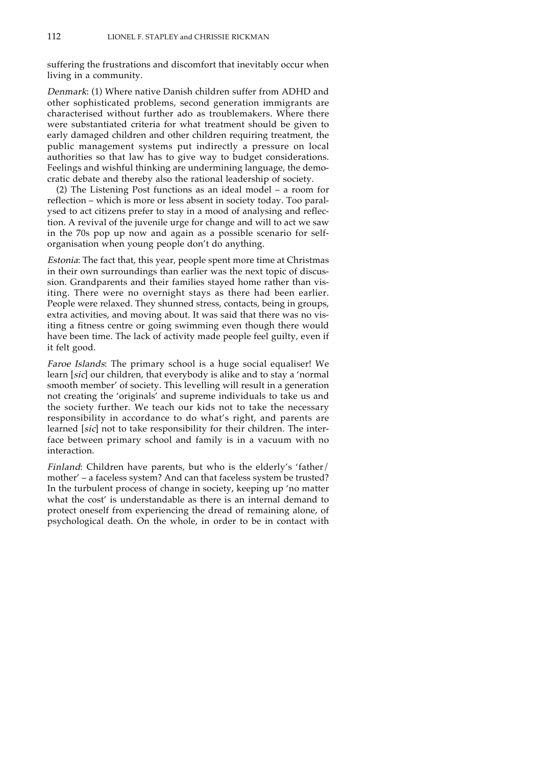suffering the frustrations and discomfort that inevitably occur when living in a community.

Denmark: (1) Where native Danish children suffer from ADHD and other sophisticated problems, second generation immigrants are characterised without further ado as troublemakers. Where there were substantiated criteria for what treatment should be given to early damaged children and other children requiring treatment, the public management systems put indirectly a pressure on local authorities so that law has to give way to budget considerations. Feelings and wishful thinking are undermining language, the democratic debate and thereby also the rational leadership of society.

(2) The Listening Post functions as an ideal model – a room for reflection – which is more or less absent in society today. Too paralysed to act citizens prefer to stay in a mood of analysing and reflection. A revival of the juvenile urge for change and will to act we saw in the 70s pop up now and again as a possible scenario for selforganisation when young people don't do anything.

Estonia: The fact that, this year, people spent more time at Christmas in their own surroundings than earlier was the next topic of discussion. Grandparents and their families stayed home rather than visiting. There were no overnight stays as there had been earlier. People were relaxed. They shunned stress, contacts, being in groups, extra activities, and moving about. It was said that there was no visiting a fitness centre or going swimming even though there would have been time. The lack of activity made people feel guilty, even if it felt good.

Faroe Islands: The primary school is a huge social equaliser! We learn [sic] our children, that everybody is alike and to stay a 'normal smooth member' of society. This levelling will result in a generation not creating the 'originals' and supreme individuals to take us and the society further. We teach our kids not to take the necessary responsibility in accordance to do what's right, and parents are learned [sic] not to take responsibility for their children. The interface between primary school and family is in a vacuum with no interaction.

Finland: Children have parents, but who is the elderly's 'father/ mother' – a faceless system? And can that faceless system be trusted? In the turbulent process of change in society, keeping up 'no matter what the cost' is understandable as there is an internal demand to protect oneself from experiencing the dread of remaining alone, of psychological death. On the whole, in order to be in contact with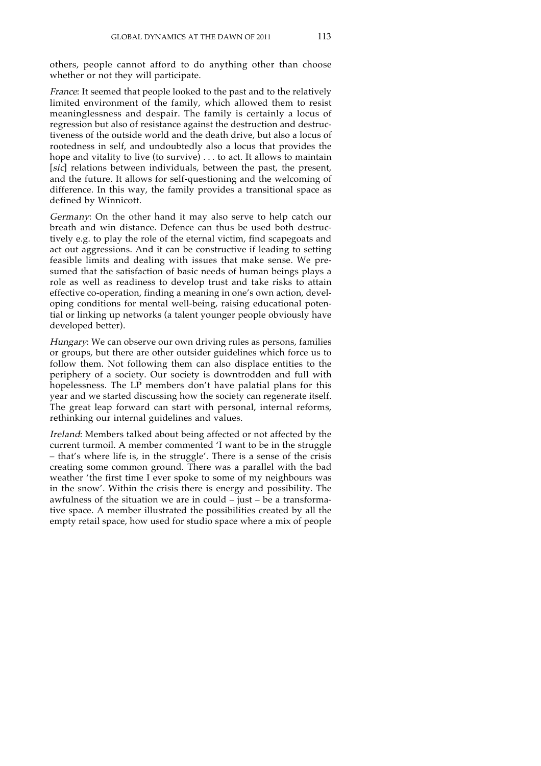others, people cannot afford to do anything other than choose whether or not they will participate.

France: It seemed that people looked to the past and to the relatively limited environment of the family, which allowed them to resist meaninglessness and despair. The family is certainly a locus of regression but also of resistance against the destruction and destructiveness of the outside world and the death drive, but also a locus of rootedness in self, and undoubtedly also a locus that provides the hope and vitality to live (to survive) . . . to act. It allows to maintain [sic] relations between individuals, between the past, the present, and the future. It allows for self-questioning and the welcoming of difference. In this way, the family provides a transitional space as defined by Winnicott.

Germany: On the other hand it may also serve to help catch our breath and win distance. Defence can thus be used both destructively e.g. to play the role of the eternal victim, find scapegoats and act out aggressions. And it can be constructive if leading to setting feasible limits and dealing with issues that make sense. We presumed that the satisfaction of basic needs of human beings plays a role as well as readiness to develop trust and take risks to attain effective co-operation, finding a meaning in one's own action, developing conditions for mental well-being, raising educational potential or linking up networks (a talent younger people obviously have developed better).

Hungary: We can observe our own driving rules as persons, families or groups, but there are other outsider guidelines which force us to follow them. Not following them can also displace entities to the periphery of a society. Our society is downtrodden and full with hopelessness. The LP members don't have palatial plans for this year and we started discussing how the society can regenerate itself. The great leap forward can start with personal, internal reforms, rethinking our internal guidelines and values.

Ireland: Members talked about being affected or not affected by the current turmoil. A member commented 'I want to be in the struggle – that's where life is, in the struggle'. There is a sense of the crisis creating some common ground. There was a parallel with the bad weather 'the first time I ever spoke to some of my neighbours was in the snow'. Within the crisis there is energy and possibility. The awfulness of the situation we are in could – just – be a transformative space. A member illustrated the possibilities created by all the empty retail space, how used for studio space where a mix of people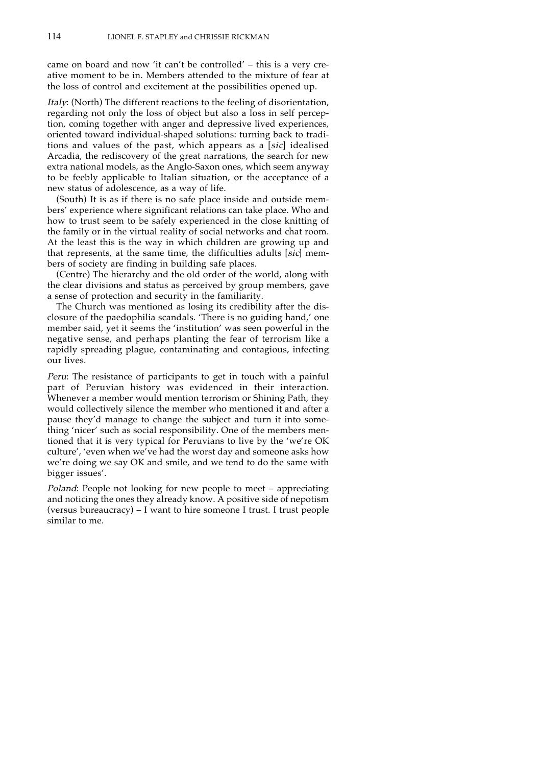came on board and now 'it can't be controlled' – this is a very creative moment to be in. Members attended to the mixture of fear at the loss of control and excitement at the possibilities opened up.

Italy: (North) The different reactions to the feeling of disorientation, regarding not only the loss of object but also a loss in self perception, coming together with anger and depressive lived experiences, oriented toward individual-shaped solutions: turning back to traditions and values of the past, which appears as a [sic] idealised Arcadia, the rediscovery of the great narrations, the search for new extra national models, as the Anglo-Saxon ones, which seem anyway to be feebly applicable to Italian situation, or the acceptance of a new status of adolescence, as a way of life.

(South) It is as if there is no safe place inside and outside members' experience where significant relations can take place. Who and how to trust seem to be safely experienced in the close knitting of the family or in the virtual reality of social networks and chat room. At the least this is the way in which children are growing up and that represents, at the same time, the difficulties adults [sic] members of society are finding in building safe places.

(Centre) The hierarchy and the old order of the world, along with the clear divisions and status as perceived by group members, gave a sense of protection and security in the familiarity.

The Church was mentioned as losing its credibility after the disclosure of the paedophilia scandals. 'There is no guiding hand,' one member said, yet it seems the 'institution' was seen powerful in the negative sense, and perhaps planting the fear of terrorism like a rapidly spreading plague, contaminating and contagious, infecting our lives.

Peru: The resistance of participants to get in touch with a painful part of Peruvian history was evidenced in their interaction. Whenever a member would mention terrorism or Shining Path, they would collectively silence the member who mentioned it and after a pause they'd manage to change the subject and turn it into something 'nicer' such as social responsibility. One of the members mentioned that it is very typical for Peruvians to live by the 'we're OK culture', 'even when we've had the worst day and someone asks how we're doing we say OK and smile, and we tend to do the same with bigger issues'.

Poland: People not looking for new people to meet – appreciating and noticing the ones they already know. A positive side of nepotism (versus bureaucracy) – I want to hire someone I trust. I trust people similar to me.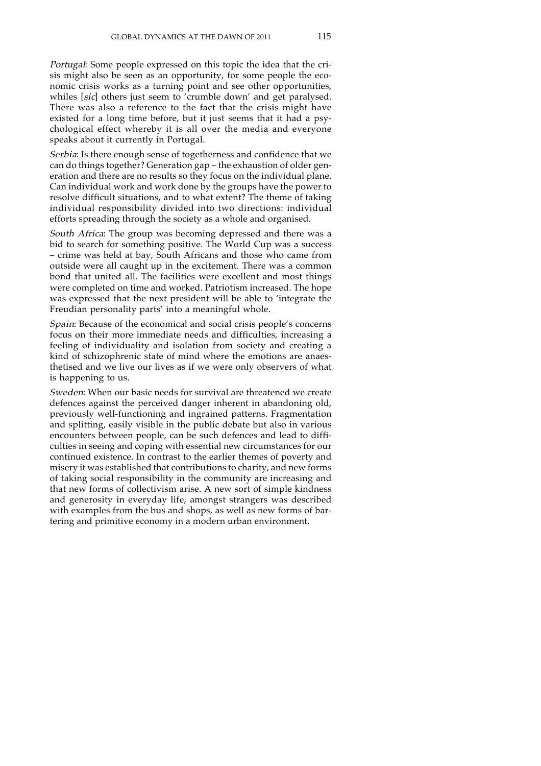Portugal: Some people expressed on this topic the idea that the crisis might also be seen as an opportunity, for some people the economic crisis works as a turning point and see other opportunities, whiles [sic] others just seem to 'crumble down' and get paralysed. There was also a reference to the fact that the crisis might have existed for a long time before, but it just seems that it had a psychological effect whereby it is all over the media and everyone speaks about it currently in Portugal.

Serbia: Is there enough sense of togetherness and confidence that we can do things together? Generation gap – the exhaustion of older generation and there are no results so they focus on the individual plane. Can individual work and work done by the groups have the power to resolve difficult situations, and to what extent? The theme of taking individual responsibility divided into two directions: individual efforts spreading through the society as a whole and organised.

South Africa: The group was becoming depressed and there was a bid to search for something positive. The World Cup was a success – crime was held at bay, South Africans and those who came from outside were all caught up in the excitement. There was a common bond that united all. The facilities were excellent and most things were completed on time and worked. Patriotism increased. The hope was expressed that the next president will be able to 'integrate the Freudian personality parts' into a meaningful whole.

Spain: Because of the economical and social crisis people's concerns focus on their more immediate needs and difficulties, increasing a feeling of individuality and isolation from society and creating a kind of schizophrenic state of mind where the emotions are anaesthetised and we live our lives as if we were only observers of what is happening to us.

Sweden: When our basic needs for survival are threatened we create defences against the perceived danger inherent in abandoning old, previously well-functioning and ingrained patterns. Fragmentation and splitting, easily visible in the public debate but also in various encounters between people, can be such defences and lead to difficulties in seeing and coping with essential new circumstances for our continued existence. In contrast to the earlier themes of poverty and misery it was established that contributions to charity, and new forms of taking social responsibility in the community are increasing and that new forms of collectivism arise. A new sort of simple kindness and generosity in everyday life, amongst strangers was described with examples from the bus and shops, as well as new forms of bartering and primitive economy in a modern urban environment.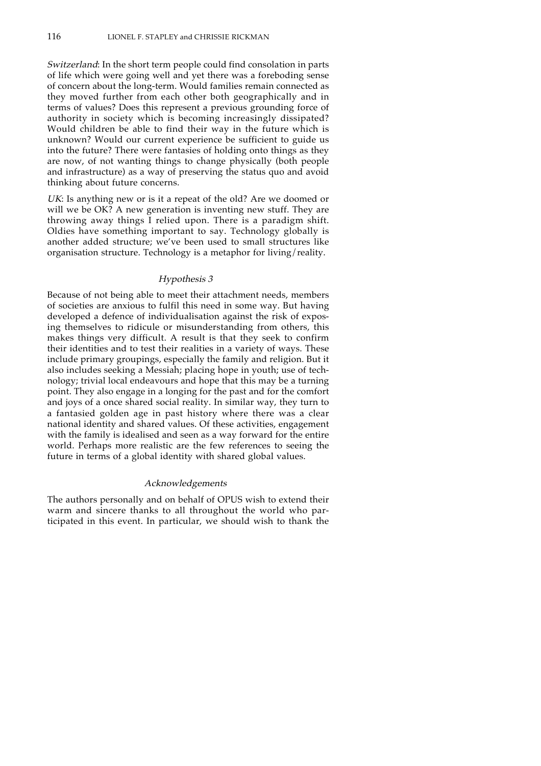Switzerland: In the short term people could find consolation in parts of life which were going well and yet there was a foreboding sense of concern about the long-term. Would families remain connected as they moved further from each other both geographically and in terms of values? Does this represent a previous grounding force of authority in society which is becoming increasingly dissipated? Would children be able to find their way in the future which is unknown? Would our current experience be sufficient to guide us into the future? There were fantasies of holding onto things as they are now, of not wanting things to change physically (both people and infrastructure) as a way of preserving the status quo and avoid thinking about future concerns.

UK: Is anything new or is it a repeat of the old? Are we doomed or will we be OK? A new generation is inventing new stuff. They are throwing away things I relied upon. There is a paradigm shift. Oldies have something important to say. Technology globally is another added structure; we've been used to small structures like organisation structure. Technology is a metaphor for living/reality.

#### Hypothesis 3

Because of not being able to meet their attachment needs, members of societies are anxious to fulfil this need in some way. But having developed a defence of individualisation against the risk of exposing themselves to ridicule or misunderstanding from others, this makes things very difficult. A result is that they seek to confirm their identities and to test their realities in a variety of ways. These include primary groupings, especially the family and religion. But it also includes seeking a Messiah; placing hope in youth; use of technology; trivial local endeavours and hope that this may be a turning point. They also engage in a longing for the past and for the comfort and joys of a once shared social reality. In similar way, they turn to a fantasied golden age in past history where there was a clear national identity and shared values. Of these activities, engagement with the family is idealised and seen as a way forward for the entire world. Perhaps more realistic are the few references to seeing the future in terms of a global identity with shared global values.

#### Acknowledgements

The authors personally and on behalf of OPUS wish to extend their warm and sincere thanks to all throughout the world who participated in this event. In particular, we should wish to thank the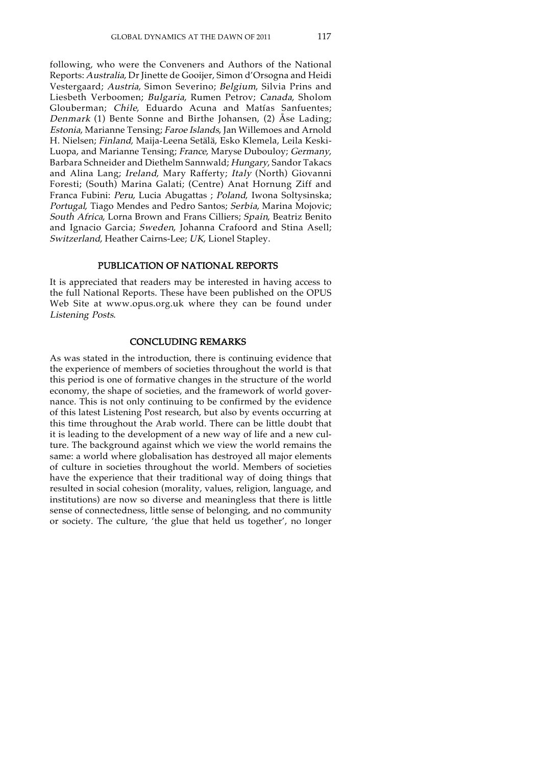following, who were the Conveners and Authors of the National Reports: Australia, Dr Jinette de Gooijer, Simon d'Orsogna and Heidi Vestergaard; Austria, Simon Severino; Belgium, Silvia Prins and Liesbeth Verboomen; Bulgaria, Rumen Petrov; Canada, Sholom Glouberman; Chile, Eduardo Acuna and Matías Sanfuentes; Denmark (1) Bente Sonne and Birthe Johansen, (2) Åse Lading; Estonia, Marianne Tensing; Faroe Islands, Jan Willemoes and Arnold H. Nielsen; Finland, Maija-Leena Setälä, Esko Klemela, Leila Keski-Luopa, and Marianne Tensing; France, Maryse Dubouloy; Germany, Barbara Schneider and Diethelm Sannwald; Hungary, Sandor Takacs and Alina Lang; Ireland, Mary Rafferty; Italy (North) Giovanni Foresti; (South) Marina Galati; (Centre) Anat Hornung Ziff and Franca Fubini: Peru, Lucia Abugattas ; Poland, Iwona Soltysinska; Portugal, Tiago Mendes and Pedro Santos; Serbia, Marina Mojovic; South Africa, Lorna Brown and Frans Cilliers; Spain, Beatriz Benito and Ignacio Garcia; Sweden, Johanna Crafoord and Stina Asell; Switzerland, Heather Cairns-Lee; UK, Lionel Stapley.

# PUBLICATION OF NATIONAL REPORTS

It is appreciated that readers may be interested in having access to the full National Reports. These have been published on the OPUS Web Site at www.opus.org.uk where they can be found under Listening Posts.

#### CONCLUDING REMARKS

As was stated in the introduction, there is continuing evidence that the experience of members of societies throughout the world is that this period is one of formative changes in the structure of the world economy, the shape of societies, and the framework of world governance. This is not only continuing to be confirmed by the evidence of this latest Listening Post research, but also by events occurring at this time throughout the Arab world. There can be little doubt that it is leading to the development of a new way of life and a new culture. The background against which we view the world remains the same: a world where globalisation has destroyed all major elements of culture in societies throughout the world. Members of societies have the experience that their traditional way of doing things that resulted in social cohesion (morality, values, religion, language, and institutions) are now so diverse and meaningless that there is little sense of connectedness, little sense of belonging, and no community or society. The culture, 'the glue that held us together', no longer